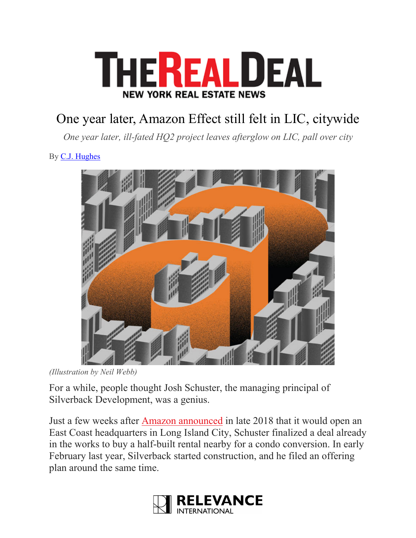

## One year later, Amazon Effect still felt in LIC, citywide

*One year later, ill-fated HQ2 project leaves afterglow on LIC, pall over city*

By C.J. Hughes



*<sup>(</sup>Illustration by Neil Webb)*

For a while, people thought Josh Schuster, the managing principal of Silverback Development, was a genius.

Just a few weeks after Amazon announced in late 2018 that it would open an East Coast headquarters in Long Island City, Schuster finalized a deal already in the works to buy a half-built rental nearby for a condo conversion. In early February last year, Silverback started construction, and he filed an offering plan around the same time.

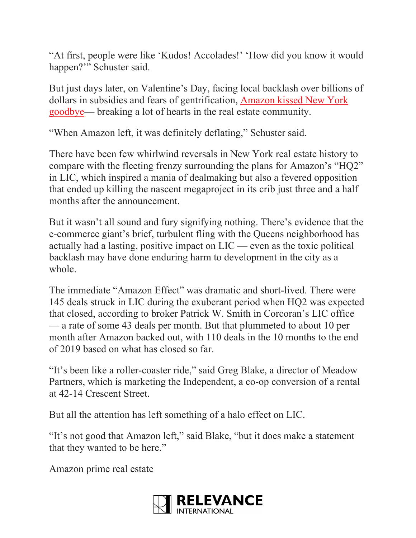"At first, people were like 'Kudos! Accolades!' 'How did you know it would happen?'" Schuster said.

But just days later, on Valentine's Day, facing local backlash over billions of dollars in subsidies and fears of gentrification, Amazon kissed New York goodbye— breaking a lot of hearts in the real estate community.

"When Amazon left, it was definitely deflating," Schuster said.

There have been few whirlwind reversals in New York real estate history to compare with the fleeting frenzy surrounding the plans for Amazon's "HQ2" in LIC, which inspired a mania of dealmaking but also a fevered opposition that ended up killing the nascent megaproject in its crib just three and a half months after the announcement.

But it wasn't all sound and fury signifying nothing. There's evidence that the e-commerce giant's brief, turbulent fling with the Queens neighborhood has actually had a lasting, positive impact on LIC — even as the toxic political backlash may have done enduring harm to development in the city as a whole.

The immediate "Amazon Effect" was dramatic and short-lived. There were 145 deals struck in LIC during the exuberant period when HQ2 was expected that closed, according to broker Patrick W. Smith in Corcoran's LIC office — a rate of some 43 deals per month. But that plummeted to about 10 per month after Amazon backed out, with 110 deals in the 10 months to the end of 2019 based on what has closed so far.

"It's been like a roller-coaster ride," said Greg Blake, a director of Meadow Partners, which is marketing the Independent, a co-op conversion of a rental at 42-14 Crescent Street.

But all the attention has left something of a halo effect on LIC.

"It's not good that Amazon left," said Blake, "but it does make a statement that they wanted to be here."

Amazon prime real estate

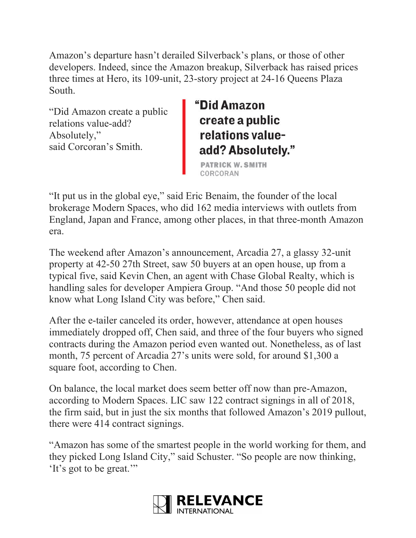Amazon's departure hasn't derailed Silverback's plans, or those of other developers. Indeed, since the Amazon breakup, Silverback has raised prices three times at Hero, its 109-unit, 23-story project at 24-16 Queens Plaza South.

"Did Amazon create a public relations value-add? Absolutely," said Corcoran's Smith.

## 'Did Amazon create a public relations valueadd? Absolutely."

**PATRICK W. SMITH** 

"It put us in the global eye," said Eric Benaim, the founder of the local brokerage Modern Spaces, who did 162 media interviews with outlets from England, Japan and France, among other places, in that three-month Amazon era.

The weekend after Amazon's announcement, Arcadia 27, a glassy 32-unit property at 42-50 27th Street, saw 50 buyers at an open house, up from a typical five, said Kevin Chen, an agent with Chase Global Realty, which is handling sales for developer Ampiera Group. "And those 50 people did not know what Long Island City was before," Chen said.

After the e-tailer canceled its order, however, attendance at open houses immediately dropped off, Chen said, and three of the four buyers who signed contracts during the Amazon period even wanted out. Nonetheless, as of last month, 75 percent of Arcadia 27's units were sold, for around \$1,300 a square foot, according to Chen.

On balance, the local market does seem better off now than pre-Amazon, according to Modern Spaces. LIC saw 122 contract signings in all of 2018, the firm said, but in just the six months that followed Amazon's 2019 pullout, there were 414 contract signings.

"Amazon has some of the smartest people in the world working for them, and they picked Long Island City," said Schuster. "So people are now thinking, 'It's got to be great.'"

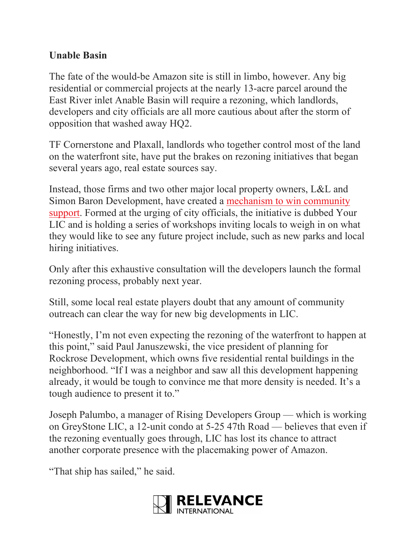## **Unable Basin**

The fate of the would-be Amazon site is still in limbo, however. Any big residential or commercial projects at the nearly 13-acre parcel around the East River inlet Anable Basin will require a rezoning, which landlords, developers and city officials are all more cautious about after the storm of opposition that washed away HQ2.

TF Cornerstone and Plaxall, landlords who together control most of the land on the waterfront site, have put the brakes on rezoning initiatives that began several years ago, real estate sources say.

Instead, those firms and two other major local property owners, L&L and Simon Baron Development, have created a mechanism to win community support. Formed at the urging of city officials, the initiative is dubbed Your LIC and is holding a series of workshops inviting locals to weigh in on what they would like to see any future project include, such as new parks and local hiring initiatives.

Only after this exhaustive consultation will the developers launch the formal rezoning process, probably next year.

Still, some local real estate players doubt that any amount of community outreach can clear the way for new big developments in LIC.

"Honestly, I'm not even expecting the rezoning of the waterfront to happen at this point," said Paul Januszewski, the vice president of planning for Rockrose Development, which owns five residential rental buildings in the neighborhood. "If I was a neighbor and saw all this development happening already, it would be tough to convince me that more density is needed. It's a tough audience to present it to."

Joseph Palumbo, a manager of Rising Developers Group — which is working on GreyStone LIC, a 12-unit condo at 5-25 47th Road — believes that even if the rezoning eventually goes through, LIC has lost its chance to attract another corporate presence with the placemaking power of Amazon.

"That ship has sailed," he said.